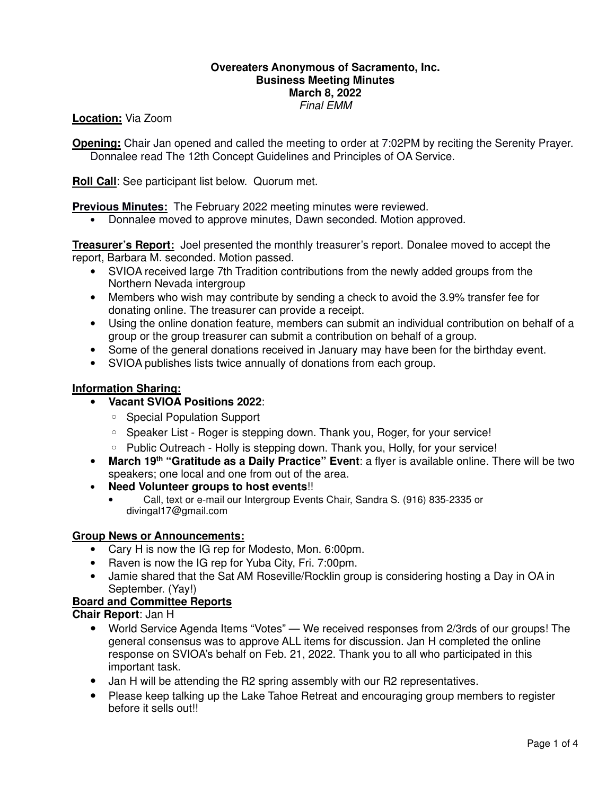## **Overeaters Anonymous of Sacramento, Inc. Business Meeting Minutes March 8, 2022** Final EMM

**Location:** Via Zoom

**Opening:** Chair Jan opened and called the meeting to order at 7:02PM by reciting the Serenity Prayer. Donnalee read The 12th Concept Guidelines and Principles of OA Service.

**Roll Call**: See participant list below. Quorum met.

**Previous Minutes:** The February 2022 meeting minutes were reviewed.

• Donnalee moved to approve minutes, Dawn seconded. Motion approved.

**Treasurer's Report:** Joel presented the monthly treasurer's report. Donalee moved to accept the report, Barbara M. seconded. Motion passed.

- SVIOA received large 7th Tradition contributions from the newly added groups from the Northern Nevada intergroup
- Members who wish may contribute by sending a check to avoid the 3.9% transfer fee for donating online. The treasurer can provide a receipt.
- Using the online donation feature, members can submit an individual contribution on behalf of a group or the group treasurer can submit a contribution on behalf of a group.
- Some of the general donations received in January may have been for the birthday event.
- SVIOA publishes lists twice annually of donations from each group.

## **Information Sharing:**

- **Vacant SVIOA Positions 2022**:
	- Special Population Support
	- Speaker List Roger is stepping down. Thank you, Roger, for your service!
	- Public Outreach Holly is stepping down. Thank you, Holly, for your service!
- **March 19th "Gratitude as a Daily Practice" Event**: a flyer is available online. There will be two speakers; one local and one from out of the area.
- **Need Volunteer groups to host events**!!
	- Call, text or e-mail our Intergroup Events Chair, Sandra S. (916) 835-2335 or divingal17@gmail.com

### **Group News or Announcements:**

- Cary H is now the IG rep for Modesto, Mon. 6:00pm.
- Raven is now the IG rep for Yuba City, Fri. 7:00pm.
- Jamie shared that the Sat AM Roseville/Rocklin group is considering hosting a Day in OA in September. (Yay!)

# **Board and Committee Reports**

**Chair Report**: Jan H

- World Service Agenda Items "Votes" We received responses from 2/3rds of our groups! The general consensus was to approve ALL items for discussion. Jan H completed the online response on SVIOA's behalf on Feb. 21, 2022. Thank you to all who participated in this important task.
- Jan H will be attending the R2 spring assembly with our R2 representatives.
- Please keep talking up the Lake Tahoe Retreat and encouraging group members to register before it sells out!!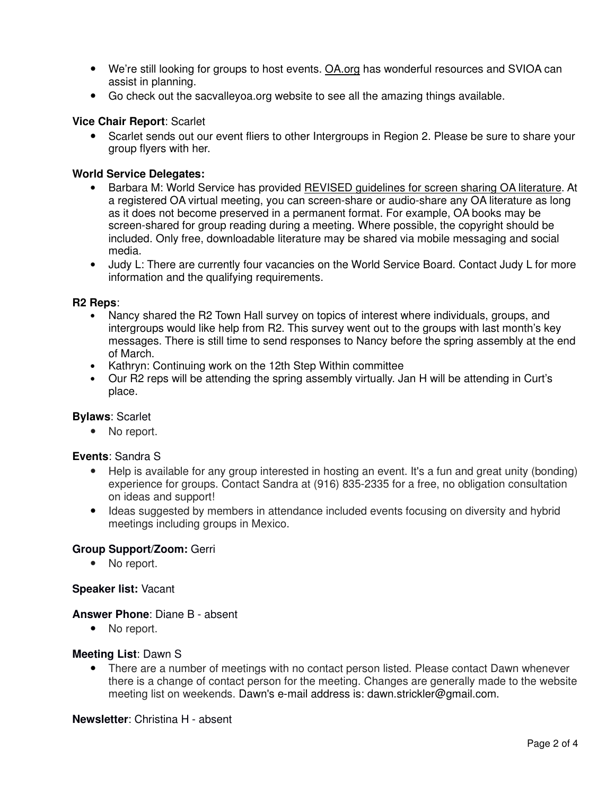- We're still looking for groups to host events. OA.org has wonderful resources and SVIOA can assist in planning.
- Go check out the sacvalleyoa.org website to see all the amazing things available.

## **Vice Chair Report**: Scarlet

• Scarlet sends out our event fliers to other Intergroups in Region 2. Please be sure to share your group flyers with her.

## **World Service Delegates:**

- Barbara M: World Service has provided REVISED guidelines for screen sharing OA literature. At a registered OA virtual meeting, you can screen-share or audio-share any OA literature as long as it does not become preserved in a permanent format. For example, OA books may be screen-shared for group reading during a meeting. Where possible, the copyright should be included. Only free, downloadable literature may be shared via mobile messaging and social media.
- Judy L: There are currently four vacancies on the World Service Board. Contact Judy L for more information and the qualifying requirements.

#### **R2 Reps**:

- Nancy shared the R2 Town Hall survey on topics of interest where individuals, groups, and intergroups would like help from R2. This survey went out to the groups with last month's key messages. There is still time to send responses to Nancy before the spring assembly at the end of March.
- Kathryn: Continuing work on the 12th Step Within committee
- Our R2 reps will be attending the spring assembly virtually. Jan H will be attending in Curt's place.

### **Bylaws**: Scarlet

• No report.

### **Events**: Sandra S

- Help is available for any group interested in hosting an event. It's a fun and great unity (bonding) experience for groups. Contact Sandra at (916) 835-2335 for a free, no obligation consultation on ideas and support!
- Ideas suggested by members in attendance included events focusing on diversity and hybrid meetings including groups in Mexico.

### **Group Support/Zoom:** Gerri

• No report.

#### **Speaker list:** Vacant

#### **Answer Phone**: Diane B - absent

• No report.

### **Meeting List**: Dawn S

• There are a number of meetings with no contact person listed. Please contact Dawn whenever there is a change of contact person for the meeting. Changes are generally made to the website meeting list on weekends. Dawn's e-mail address is: dawn.strickler@gmail.com.

#### **Newsletter**: Christina H - absent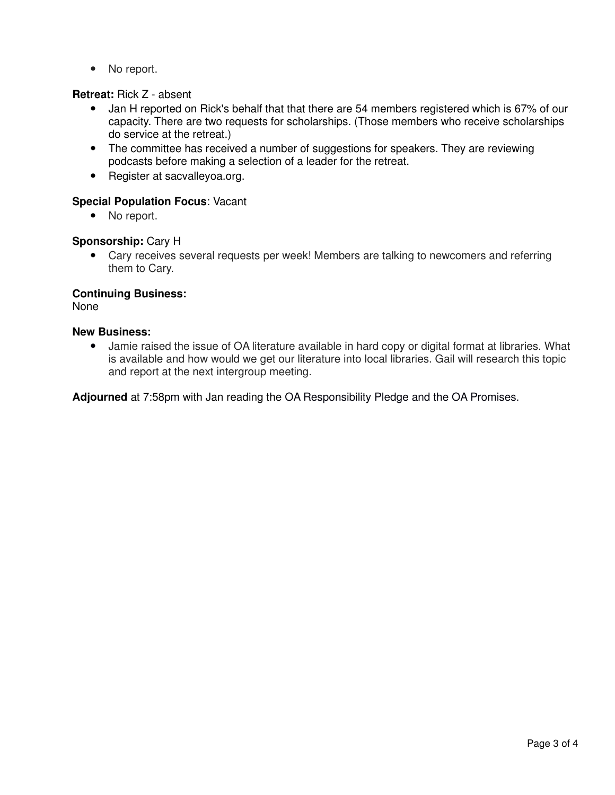• No report.

# **Retreat:** Rick Z - absent

- Jan H reported on Rick's behalf that that there are 54 members registered which is 67% of our capacity. There are two requests for scholarships. (Those members who receive scholarships do service at the retreat.)
- The committee has received a number of suggestions for speakers. They are reviewing podcasts before making a selection of a leader for the retreat.
- Register at sacvalleyoa.org.

# **Special Population Focus**: Vacant

• No report.

# **Sponsorship:** Cary H

• Cary receives several requests per week! Members are talking to newcomers and referring them to Cary.

# **Continuing Business:**

None

# **New Business:**

• Jamie raised the issue of OA literature available in hard copy or digital format at libraries. What is available and how would we get our literature into local libraries. Gail will research this topic and report at the next intergroup meeting.

**Adjourned** at 7:58pm with Jan reading the OA Responsibility Pledge and the OA Promises.